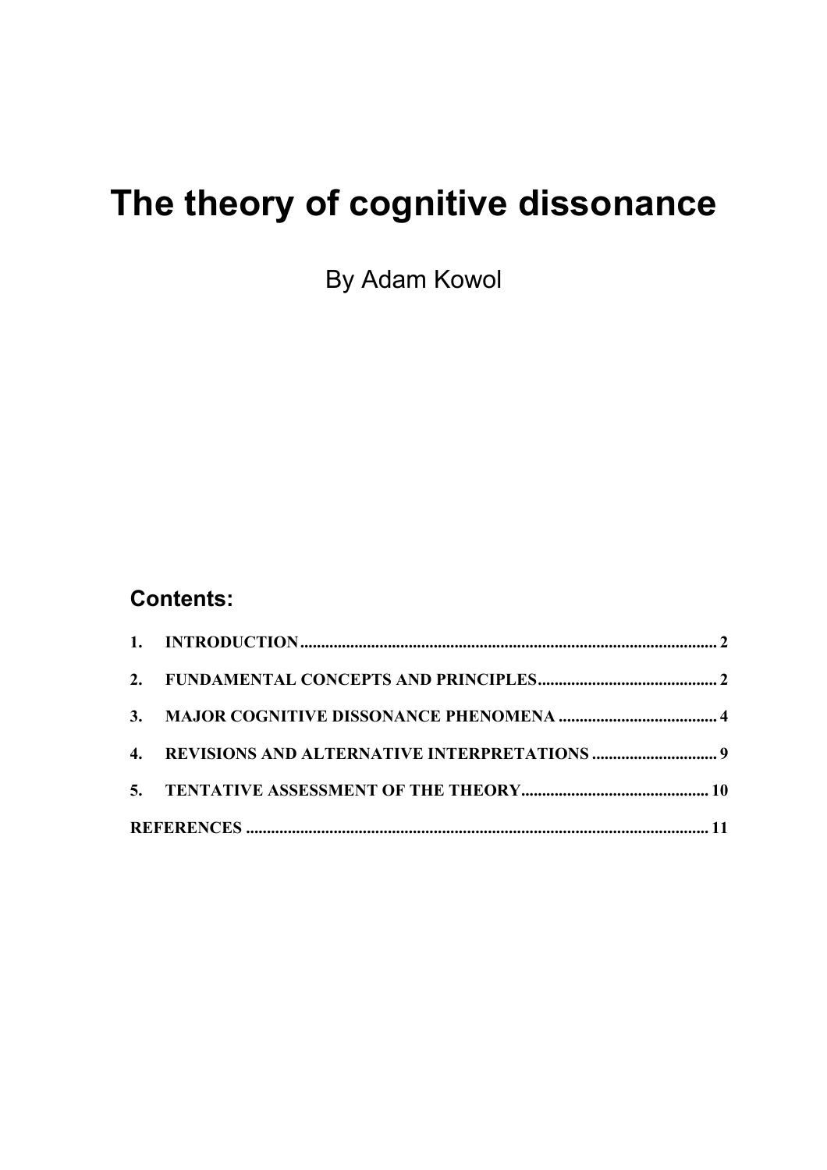# **The theory of cognitive dissonance**

By Adam Kowol

## **Contents:**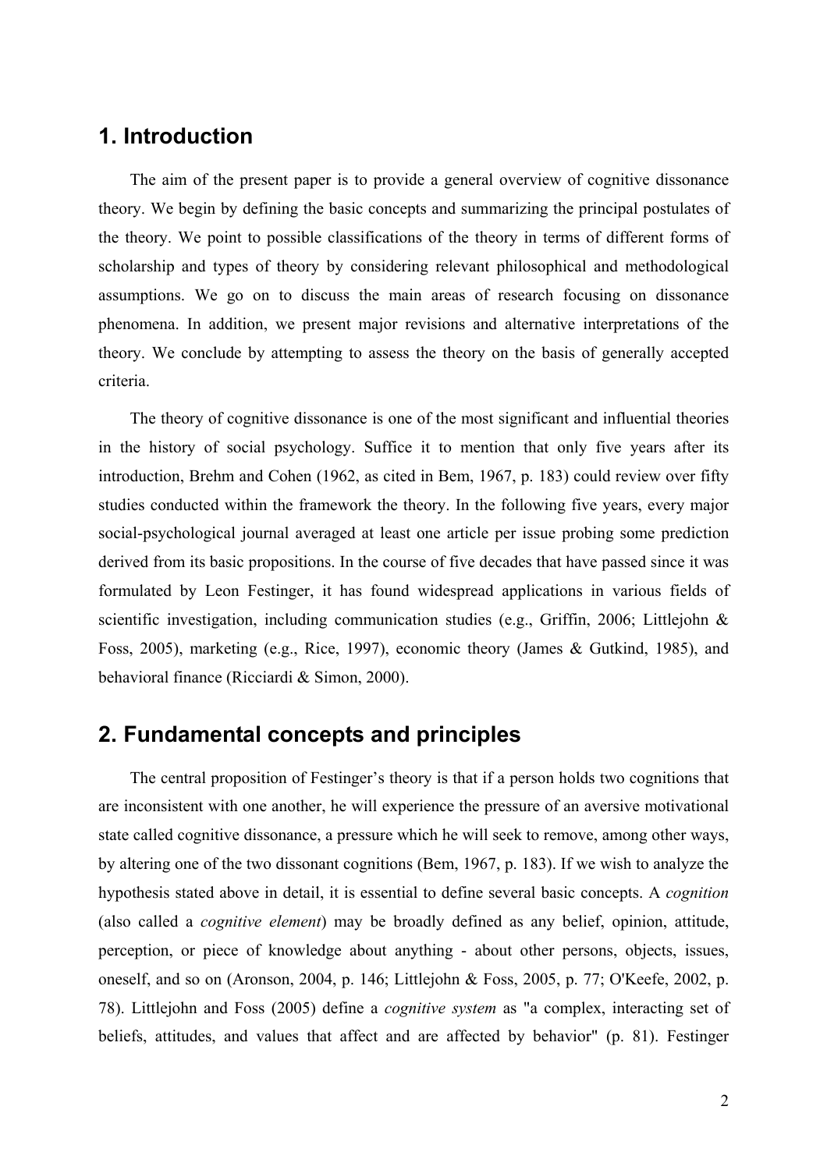### <span id="page-1-0"></span>**1. Introduction**

The aim of the present paper is to provide a general overview of cognitive dissonance theory. We begin by defining the basic concepts and summarizing the principal postulates of the theory. We point to possible classifications of the theory in terms of different forms of scholarship and types of theory by considering relevant philosophical and methodological assumptions. We go on to discuss the main areas of research focusing on dissonance phenomena. In addition, we present major revisions and alternative interpretations of the theory. We conclude by attempting to assess the theory on the basis of generally accepted criteria.

The theory of cognitive dissonance is one of the most significant and influential theories in the history of social psychology. Suffice it to mention that only five years after its introduction, Brehm and Cohen (1962, as cited in Bem, 1967, p. 183) could review over fifty studies conducted within the framework the theory. In the following five years, every major social-psychological journal averaged at least one article per issue probing some prediction derived from its basic propositions. In the course of five decades that have passed since it was formulated by Leon Festinger, it has found widespread applications in various fields of scientific investigation, including communication studies (e.g., Griffin, 2006; Littlejohn & Foss, 2005), marketing (e.g., Rice, 1997), economic theory (James & Gutkind, 1985), and behavioral finance (Ricciardi & Simon, 2000).

#### **2. Fundamental concepts and principles**

The central proposition of Festinger's theory is that if a person holds two cognitions that are inconsistent with one another, he will experience the pressure of an aversive motivational state called cognitive dissonance, a pressure which he will seek to remove, among other ways, by altering one of the two dissonant cognitions (Bem, 1967, p. 183). If we wish to analyze the hypothesis stated above in detail, it is essential to define several basic concepts. A *cognition* (also called a *cognitive element*) may be broadly defined as any belief, opinion, attitude, perception, or piece of knowledge about anything - about other persons, objects, issues, oneself, and so on (Aronson, 2004, p. 146; Littlejohn & Foss, 2005, p. 77; O'Keefe, 2002, p. 78). Littlejohn and Foss (2005) define a *cognitive system* as "a complex, interacting set of beliefs, attitudes, and values that affect and are affected by behavior" (p. 81). Festinger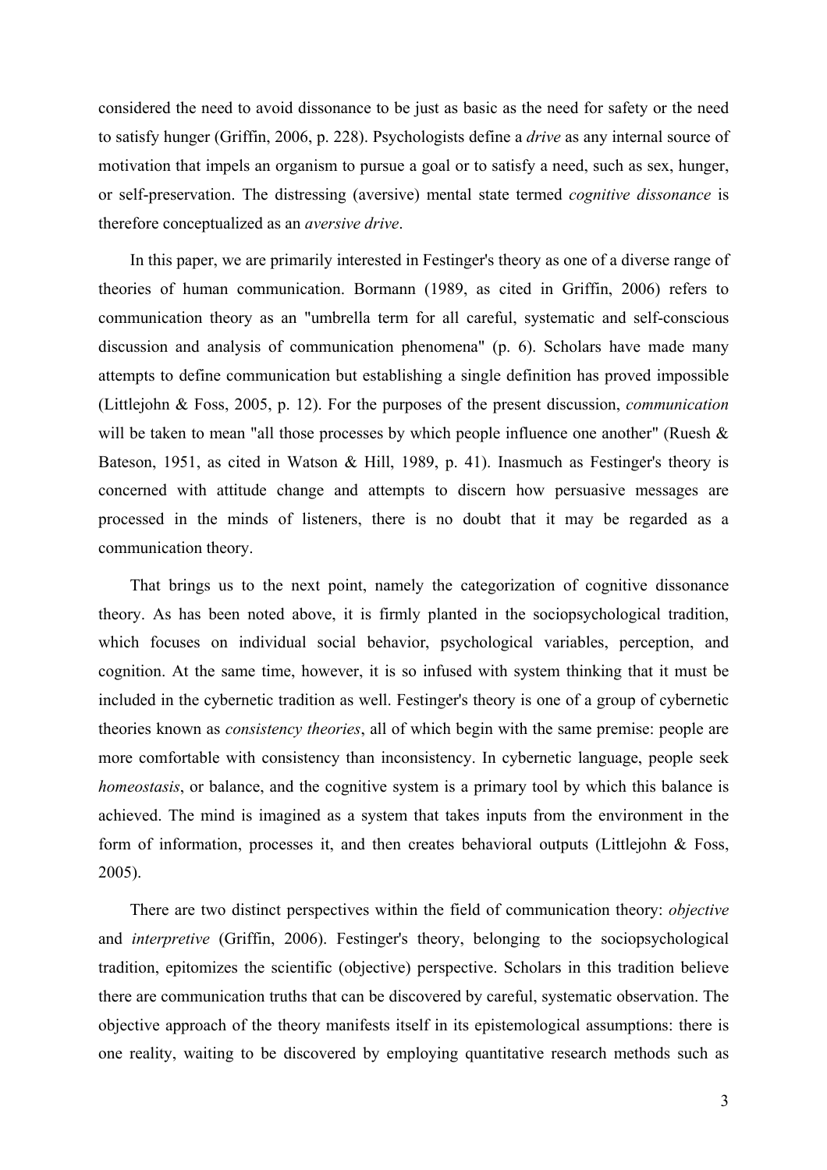considered the need to avoid dissonance to be just as basic as the need for safety or the need to satisfy hunger (Griffin, 2006, p. 228). Psychologists define a *drive* as any internal source of motivation that impels an organism to pursue a goal or to satisfy a need, such as sex, hunger, or self-preservation. The distressing (aversive) mental state termed *cognitive dissonance* is therefore conceptualized as an *aversive drive*.

In this paper, we are primarily interested in Festinger's theory as one of a diverse range of theories of human communication. Bormann (1989, as cited in Griffin, 2006) refers to communication theory as an "umbrella term for all careful, systematic and self-conscious discussion and analysis of communication phenomena" (p. 6). Scholars have made many attempts to define communication but establishing a single definition has proved impossible (Littlejohn & Foss, 2005, p. 12). For the purposes of the present discussion, *communication* will be taken to mean "all those processes by which people influence one another" (Ruesh & Bateson, 1951, as cited in Watson & Hill, 1989, p. 41). Inasmuch as Festinger's theory is concerned with attitude change and attempts to discern how persuasive messages are processed in the minds of listeners, there is no doubt that it may be regarded as a communication theory.

That brings us to the next point, namely the categorization of cognitive dissonance theory. As has been noted above, it is firmly planted in the sociopsychological tradition, which focuses on individual social behavior, psychological variables, perception, and cognition. At the same time, however, it is so infused with system thinking that it must be included in the cybernetic tradition as well. Festinger's theory is one of a group of cybernetic theories known as *consistency theories*, all of which begin with the same premise: people are more comfortable with consistency than inconsistency. In cybernetic language, people seek *homeostasis*, or balance, and the cognitive system is a primary tool by which this balance is achieved. The mind is imagined as a system that takes inputs from the environment in the form of information, processes it, and then creates behavioral outputs (Littlejohn & Foss, 2005).

There are two distinct perspectives within the field of communication theory: *objective* and *interpretive* (Griffin, 2006). Festinger's theory, belonging to the sociopsychological tradition, epitomizes the scientific (objective) perspective. Scholars in this tradition believe there are communication truths that can be discovered by careful, systematic observation. The objective approach of the theory manifests itself in its epistemological assumptions: there is one reality, waiting to be discovered by employing quantitative research methods such as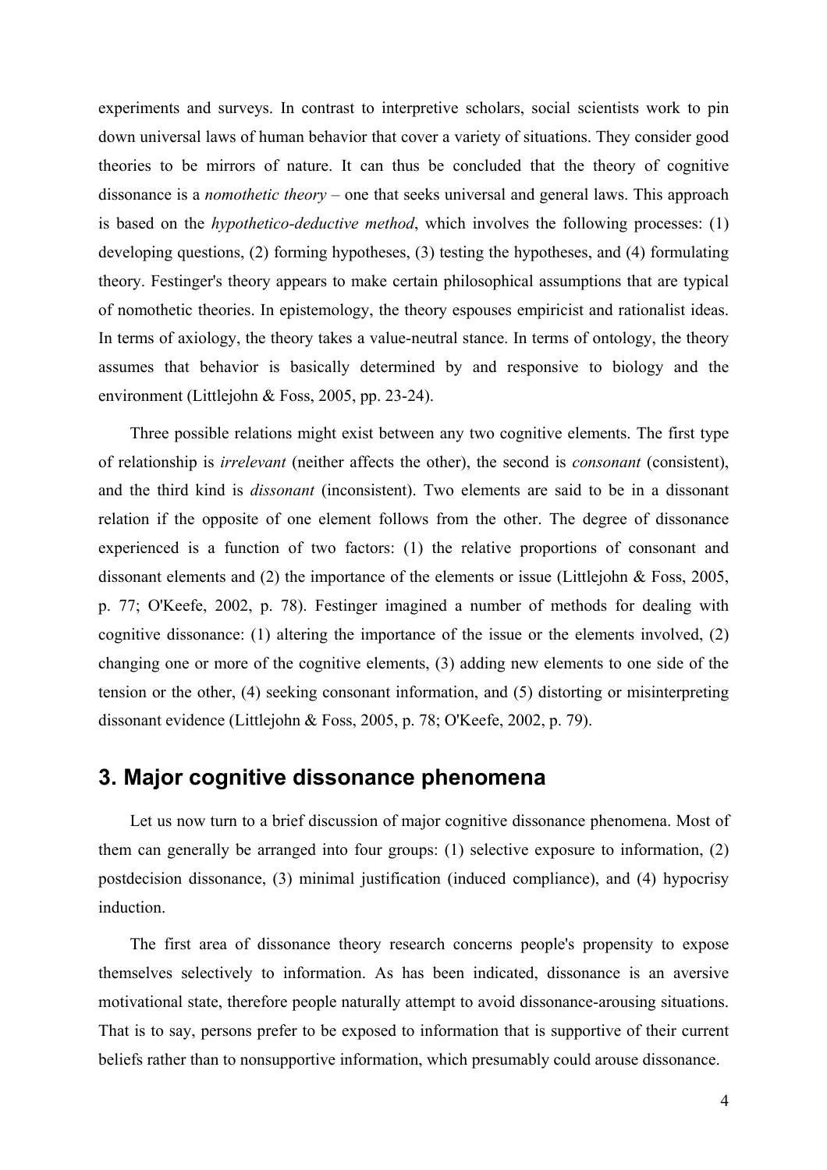<span id="page-3-0"></span>experiments and surveys. In contrast to interpretive scholars, social scientists work to pin down universal laws of human behavior that cover a variety of situations. They consider good theories to be mirrors of nature. It can thus be concluded that the theory of cognitive dissonance is a *nomothetic theory* – one that seeks universal and general laws. This approach is based on the *hypothetico-deductive method*, which involves the following processes: (1) developing questions, (2) forming hypotheses, (3) testing the hypotheses, and (4) formulating theory. Festinger's theory appears to make certain philosophical assumptions that are typical of nomothetic theories. In epistemology, the theory espouses empiricist and rationalist ideas. In terms of axiology, the theory takes a value-neutral stance. In terms of ontology, the theory assumes that behavior is basically determined by and responsive to biology and the environment (Littlejohn & Foss, 2005, pp. 23-24).

Three possible relations might exist between any two cognitive elements. The first type of relationship is *irrelevant* (neither affects the other), the second is *consonant* (consistent), and the third kind is *dissonant* (inconsistent). Two elements are said to be in a dissonant relation if the opposite of one element follows from the other. The degree of dissonance experienced is a function of two factors: (1) the relative proportions of consonant and dissonant elements and (2) the importance of the elements or issue (Littlejohn & Foss, 2005, p. 77; O'Keefe, 2002, p. 78). Festinger imagined a number of methods for dealing with cognitive dissonance: (1) altering the importance of the issue or the elements involved, (2) changing one or more of the cognitive elements, (3) adding new elements to one side of the tension or the other, (4) seeking consonant information, and (5) distorting or misinterpreting dissonant evidence (Littlejohn & Foss, 2005, p. 78; O'Keefe, 2002, p. 79).

#### **3. Major cognitive dissonance phenomena**

Let us now turn to a brief discussion of major cognitive dissonance phenomena. Most of them can generally be arranged into four groups: (1) selective exposure to information, (2) postdecision dissonance, (3) minimal justification (induced compliance), and (4) hypocrisy induction.

The first area of dissonance theory research concerns people's propensity to expose themselves selectively to information. As has been indicated, dissonance is an aversive motivational state, therefore people naturally attempt to avoid dissonance-arousing situations. That is to say, persons prefer to be exposed to information that is supportive of their current beliefs rather than to nonsupportive information, which presumably could arouse dissonance.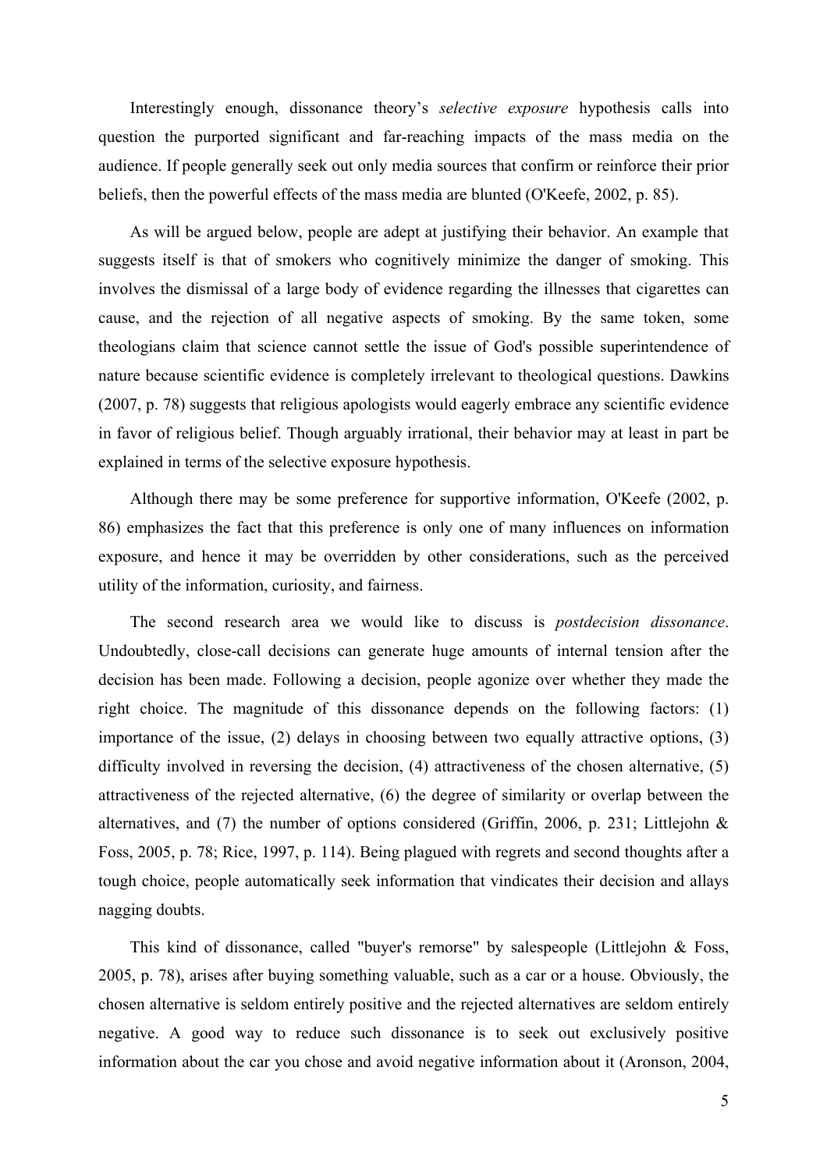Interestingly enough, dissonance theory's *selective exposure* hypothesis calls into question the purported significant and far-reaching impacts of the mass media on the audience. If people generally seek out only media sources that confirm or reinforce their prior beliefs, then the powerful effects of the mass media are blunted (O'Keefe, 2002, p. 85).

As will be argued below, people are adept at justifying their behavior. An example that suggests itself is that of smokers who cognitively minimize the danger of smoking. This involves the dismissal of a large body of evidence regarding the illnesses that cigarettes can cause, and the rejection of all negative aspects of smoking. By the same token, some theologians claim that science cannot settle the issue of God's possible superintendence of nature because scientific evidence is completely irrelevant to theological questions. Dawkins (2007, p. 78) suggests that religious apologists would eagerly embrace any scientific evidence in favor of religious belief. Though arguably irrational, their behavior may at least in part be explained in terms of the selective exposure hypothesis.

Although there may be some preference for supportive information, O'Keefe (2002, p. 86) emphasizes the fact that this preference is only one of many influences on information exposure, and hence it may be overridden by other considerations, such as the perceived utility of the information, curiosity, and fairness.

The second research area we would like to discuss is *postdecision dissonance*. Undoubtedly, close-call decisions can generate huge amounts of internal tension after the decision has been made. Following a decision, people agonize over whether they made the right choice. The magnitude of this dissonance depends on the following factors: (1) importance of the issue, (2) delays in choosing between two equally attractive options, (3) difficulty involved in reversing the decision, (4) attractiveness of the chosen alternative, (5) attractiveness of the rejected alternative, (6) the degree of similarity or overlap between the alternatives, and (7) the number of options considered (Griffin, 2006, p. 231; Littlejohn & Foss, 2005, p. 78; Rice, 1997, p. 114). Being plagued with regrets and second thoughts after a tough choice, people automatically seek information that vindicates their decision and allays nagging doubts.

This kind of dissonance, called "buyer's remorse" by salespeople (Littlejohn & Foss, 2005, p. 78), arises after buying something valuable, such as a car or a house. Obviously, the chosen alternative is seldom entirely positive and the rejected alternatives are seldom entirely negative. A good way to reduce such dissonance is to seek out exclusively positive information about the car you chose and avoid negative information about it (Aronson, 2004,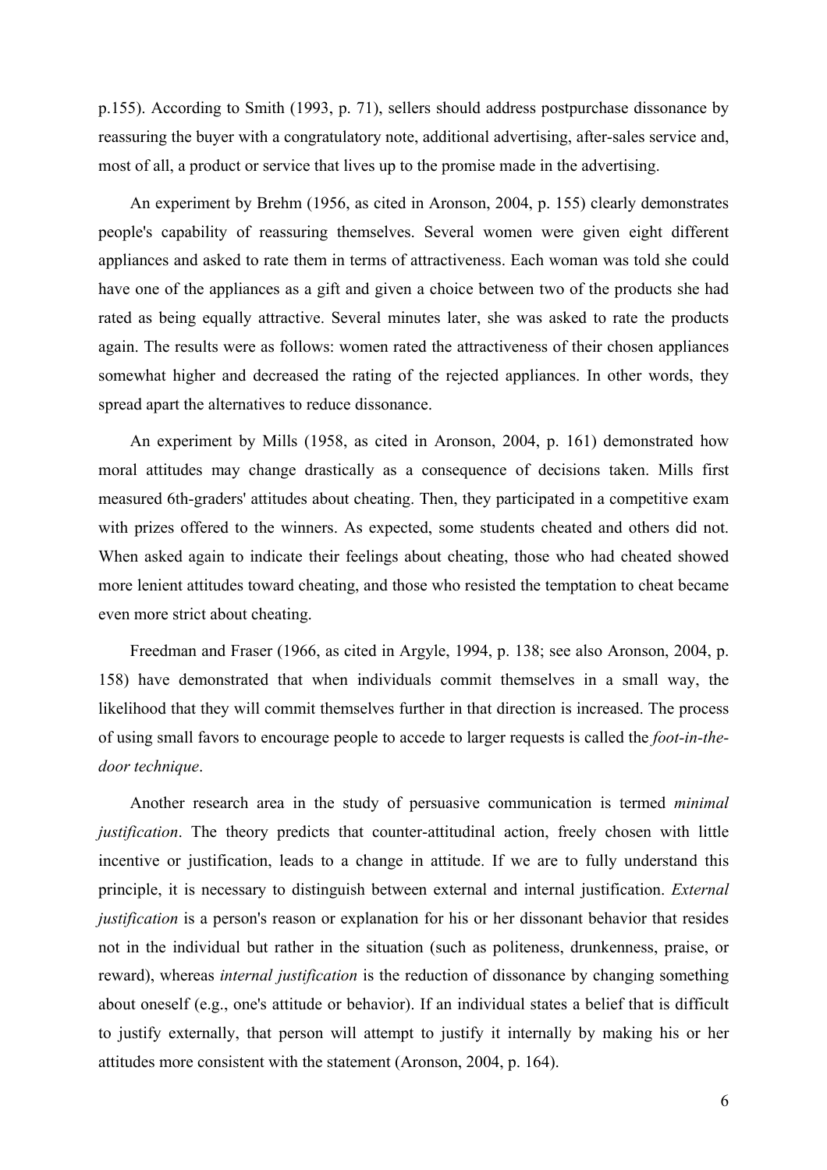p.155). According to Smith (1993, p. 71), sellers should address postpurchase dissonance by reassuring the buyer with a congratulatory note, additional advertising, after-sales service and, most of all, a product or service that lives up to the promise made in the advertising.

An experiment by Brehm (1956, as cited in Aronson, 2004, p. 155) clearly demonstrates people's capability of reassuring themselves. Several women were given eight different appliances and asked to rate them in terms of attractiveness. Each woman was told she could have one of the appliances as a gift and given a choice between two of the products she had rated as being equally attractive. Several minutes later, she was asked to rate the products again. The results were as follows: women rated the attractiveness of their chosen appliances somewhat higher and decreased the rating of the rejected appliances. In other words, they spread apart the alternatives to reduce dissonance.

An experiment by Mills (1958, as cited in Aronson, 2004, p. 161) demonstrated how moral attitudes may change drastically as a consequence of decisions taken. Mills first measured 6th-graders' attitudes about cheating. Then, they participated in a competitive exam with prizes offered to the winners. As expected, some students cheated and others did not. When asked again to indicate their feelings about cheating, those who had cheated showed more lenient attitudes toward cheating, and those who resisted the temptation to cheat became even more strict about cheating.

Freedman and Fraser (1966, as cited in Argyle, 1994, p. 138; see also Aronson, 2004, p. 158) have demonstrated that when individuals commit themselves in a small way, the likelihood that they will commit themselves further in that direction is increased. The process of using small favors to encourage people to accede to larger requests is called the *foot-in-thedoor technique*.

Another research area in the study of persuasive communication is termed *minimal justification*. The theory predicts that counter-attitudinal action, freely chosen with little incentive or justification, leads to a change in attitude. If we are to fully understand this principle, it is necessary to distinguish between external and internal justification. *External justification* is a person's reason or explanation for his or her dissonant behavior that resides not in the individual but rather in the situation (such as politeness, drunkenness, praise, or reward), whereas *internal justification* is the reduction of dissonance by changing something about oneself (e.g., one's attitude or behavior). If an individual states a belief that is difficult to justify externally, that person will attempt to justify it internally by making his or her attitudes more consistent with the statement (Aronson, 2004, p. 164).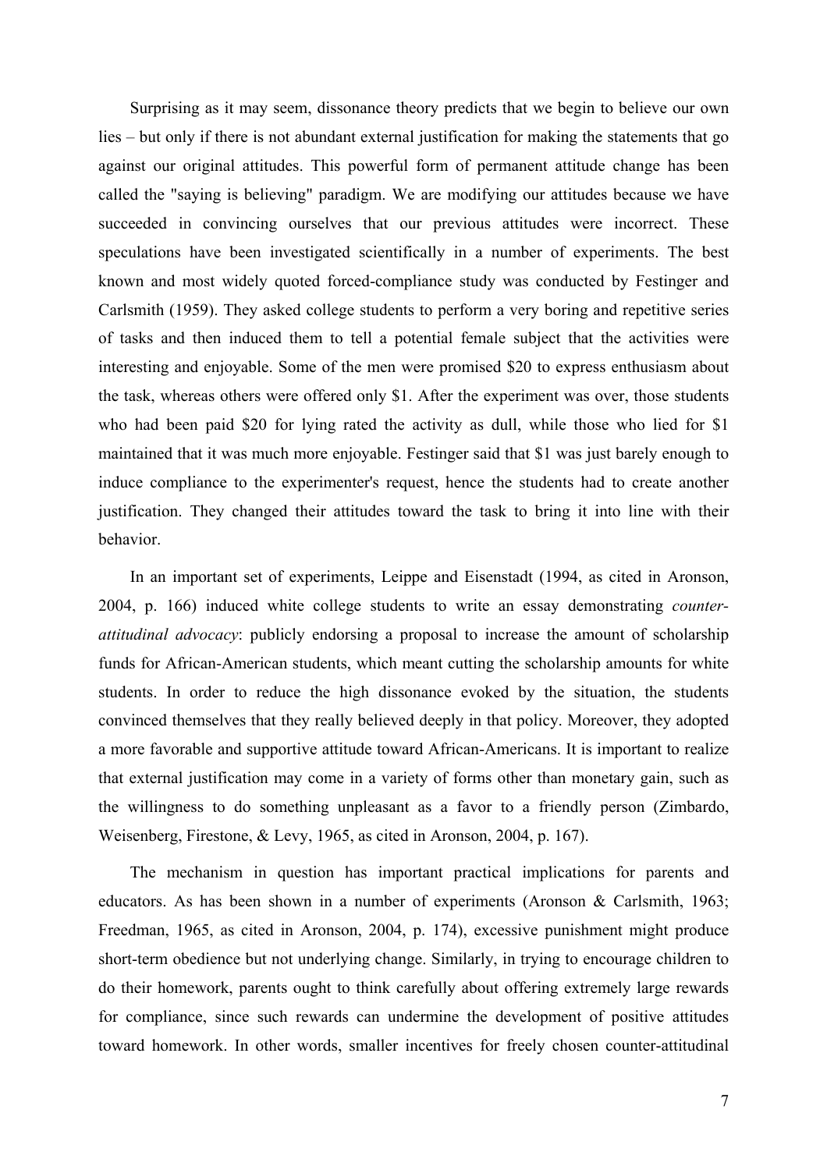Surprising as it may seem, dissonance theory predicts that we begin to believe our own lies – but only if there is not abundant external justification for making the statements that go against our original attitudes. This powerful form of permanent attitude change has been called the "saying is believing" paradigm. We are modifying our attitudes because we have succeeded in convincing ourselves that our previous attitudes were incorrect. These speculations have been investigated scientifically in a number of experiments. The best known and most widely quoted forced-compliance study was conducted by Festinger and Carlsmith (1959). They asked college students to perform a very boring and repetitive series of tasks and then induced them to tell a potential female subject that the activities were interesting and enjoyable. Some of the men were promised \$20 to express enthusiasm about the task, whereas others were offered only \$1. After the experiment was over, those students who had been paid \$20 for lying rated the activity as dull, while those who lied for \$1 maintained that it was much more enjoyable. Festinger said that \$1 was just barely enough to induce compliance to the experimenter's request, hence the students had to create another justification. They changed their attitudes toward the task to bring it into line with their behavior.

In an important set of experiments, Leippe and Eisenstadt (1994, as cited in Aronson, 2004, p. 166) induced white college students to write an essay demonstrating *counterattitudinal advocacy*: publicly endorsing a proposal to increase the amount of scholarship funds for African-American students, which meant cutting the scholarship amounts for white students. In order to reduce the high dissonance evoked by the situation, the students convinced themselves that they really believed deeply in that policy. Moreover, they adopted a more favorable and supportive attitude toward African-Americans. It is important to realize that external justification may come in a variety of forms other than monetary gain, such as the willingness to do something unpleasant as a favor to a friendly person (Zimbardo, Weisenberg, Firestone, & Levy, 1965, as cited in Aronson, 2004, p. 167).

The mechanism in question has important practical implications for parents and educators. As has been shown in a number of experiments (Aronson & Carlsmith, 1963; Freedman, 1965, as cited in Aronson, 2004, p. 174), excessive punishment might produce short-term obedience but not underlying change. Similarly, in trying to encourage children to do their homework, parents ought to think carefully about offering extremely large rewards for compliance, since such rewards can undermine the development of positive attitudes toward homework. In other words, smaller incentives for freely chosen counter-attitudinal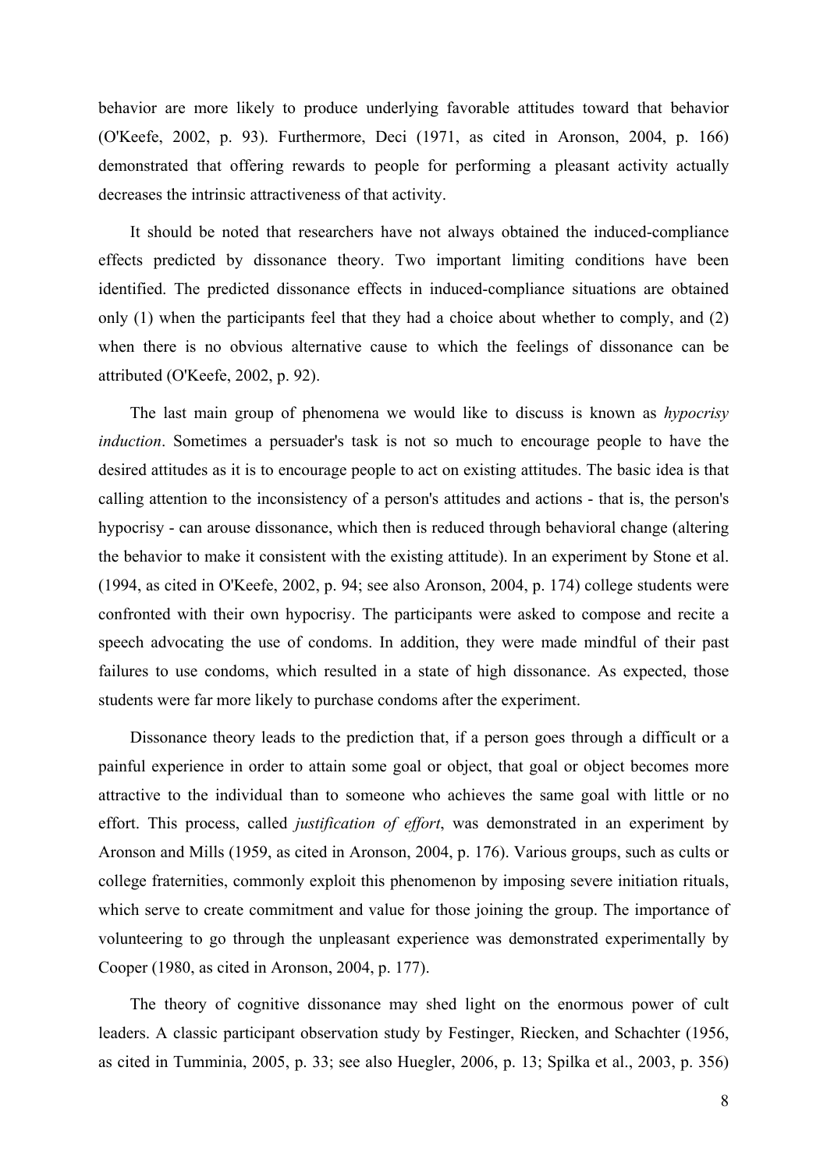behavior are more likely to produce underlying favorable attitudes toward that behavior (O'Keefe, 2002, p. 93). Furthermore, Deci (1971, as cited in Aronson, 2004, p. 166) demonstrated that offering rewards to people for performing a pleasant activity actually decreases the intrinsic attractiveness of that activity.

It should be noted that researchers have not always obtained the induced-compliance effects predicted by dissonance theory. Two important limiting conditions have been identified. The predicted dissonance effects in induced-compliance situations are obtained only (1) when the participants feel that they had a choice about whether to comply, and (2) when there is no obvious alternative cause to which the feelings of dissonance can be attributed (O'Keefe, 2002, p. 92).

The last main group of phenomena we would like to discuss is known as *hypocrisy induction*. Sometimes a persuader's task is not so much to encourage people to have the desired attitudes as it is to encourage people to act on existing attitudes. The basic idea is that calling attention to the inconsistency of a person's attitudes and actions - that is, the person's hypocrisy - can arouse dissonance, which then is reduced through behavioral change (altering the behavior to make it consistent with the existing attitude). In an experiment by Stone et al. (1994, as cited in O'Keefe, 2002, p. 94; see also Aronson, 2004, p. 174) college students were confronted with their own hypocrisy. The participants were asked to compose and recite a speech advocating the use of condoms. In addition, they were made mindful of their past failures to use condoms, which resulted in a state of high dissonance. As expected, those students were far more likely to purchase condoms after the experiment.

Dissonance theory leads to the prediction that, if a person goes through a difficult or a painful experience in order to attain some goal or object, that goal or object becomes more attractive to the individual than to someone who achieves the same goal with little or no effort. This process, called *justification of effort*, was demonstrated in an experiment by Aronson and Mills (1959, as cited in Aronson, 2004, p. 176). Various groups, such as cults or college fraternities, commonly exploit this phenomenon by imposing severe initiation rituals, which serve to create commitment and value for those joining the group. The importance of volunteering to go through the unpleasant experience was demonstrated experimentally by Cooper (1980, as cited in Aronson, 2004, p. 177).

The theory of cognitive dissonance may shed light on the enormous power of cult leaders. A classic participant observation study by Festinger, Riecken, and Schachter (1956, as cited in Tumminia, 2005, p. 33; see also Huegler, 2006, p. 13; Spilka et al., 2003, p. 356)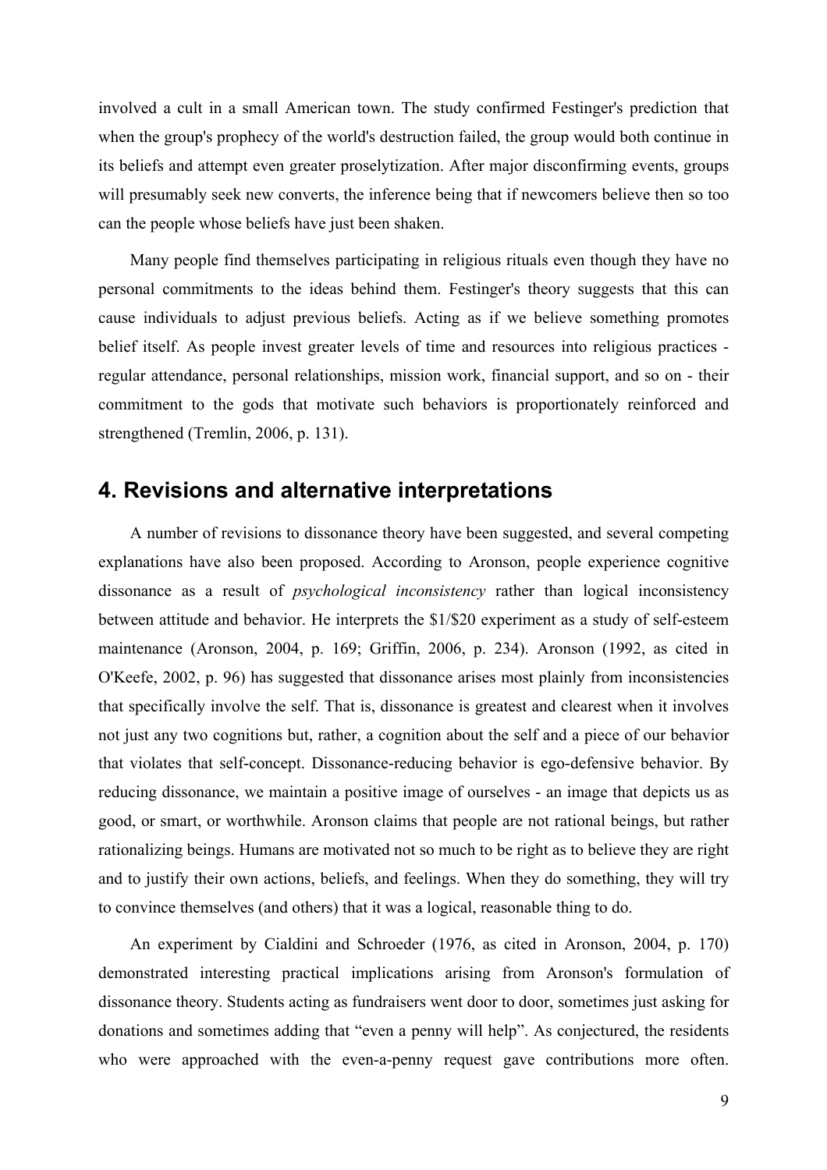<span id="page-8-0"></span>involved a cult in a small American town. The study confirmed Festinger's prediction that when the group's prophecy of the world's destruction failed, the group would both continue in its beliefs and attempt even greater proselytization. After major disconfirming events, groups will presumably seek new converts, the inference being that if newcomers believe then so too can the people whose beliefs have just been shaken.

Many people find themselves participating in religious rituals even though they have no personal commitments to the ideas behind them. Festinger's theory suggests that this can cause individuals to adjust previous beliefs. Acting as if we believe something promotes belief itself. As people invest greater levels of time and resources into religious practices regular attendance, personal relationships, mission work, financial support, and so on - their commitment to the gods that motivate such behaviors is proportionately reinforced and strengthened (Tremlin, 2006, p. 131).

#### **4. Revisions and alternative interpretations**

A number of revisions to dissonance theory have been suggested, and several competing explanations have also been proposed. According to Aronson, people experience cognitive dissonance as a result of *psychological inconsistency* rather than logical inconsistency between attitude and behavior. He interprets the \$1/\$20 experiment as a study of self-esteem maintenance (Aronson, 2004, p. 169; Griffin, 2006, p. 234). Aronson (1992, as cited in O'Keefe, 2002, p. 96) has suggested that dissonance arises most plainly from inconsistencies that specifically involve the self. That is, dissonance is greatest and clearest when it involves not just any two cognitions but, rather, a cognition about the self and a piece of our behavior that violates that self-concept. Dissonance-reducing behavior is ego-defensive behavior. By reducing dissonance, we maintain a positive image of ourselves - an image that depicts us as good, or smart, or worthwhile. Aronson claims that people are not rational beings, but rather rationalizing beings. Humans are motivated not so much to be right as to believe they are right and to justify their own actions, beliefs, and feelings. When they do something, they will try to convince themselves (and others) that it was a logical, reasonable thing to do.

An experiment by Cialdini and Schroeder (1976, as cited in Aronson, 2004, p. 170) demonstrated interesting practical implications arising from Aronson's formulation of dissonance theory. Students acting as fundraisers went door to door, sometimes just asking for donations and sometimes adding that "even a penny will help". As conjectured, the residents who were approached with the even-a-penny request gave contributions more often.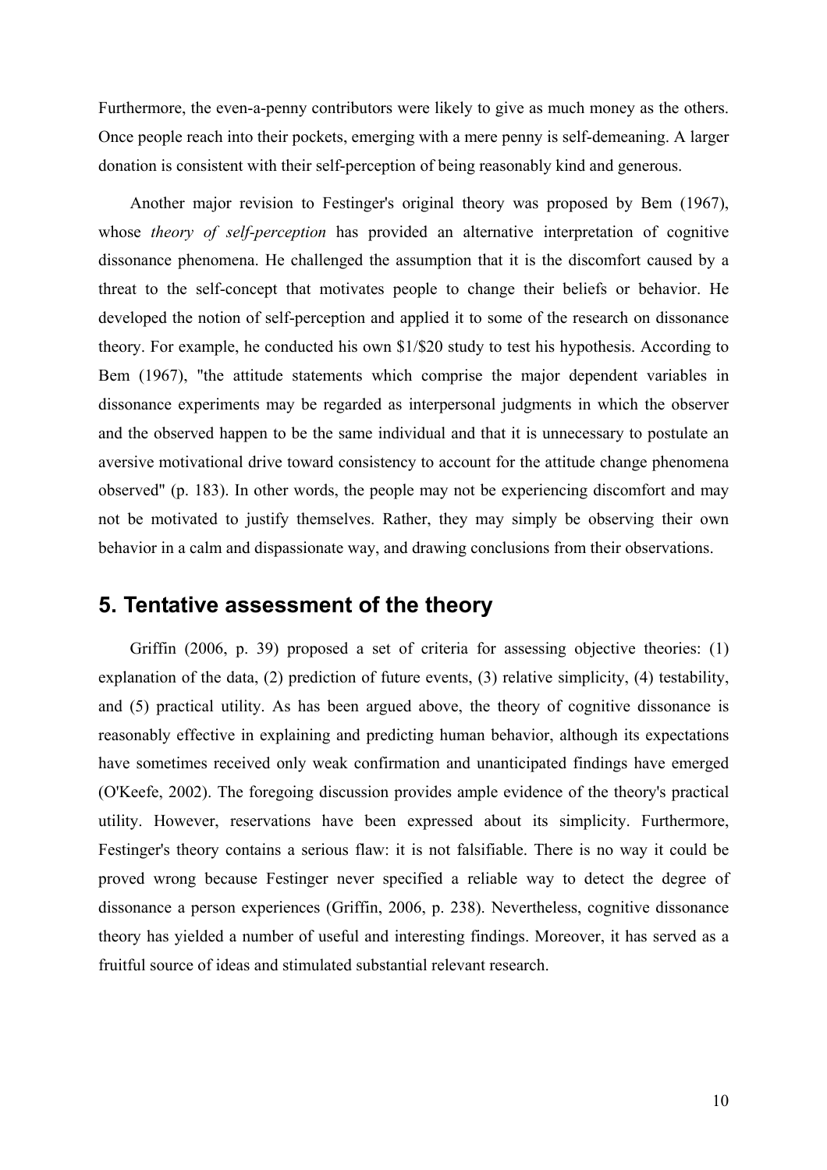<span id="page-9-0"></span>Furthermore, the even-a-penny contributors were likely to give as much money as the others. Once people reach into their pockets, emerging with a mere penny is self-demeaning. A larger donation is consistent with their self-perception of being reasonably kind and generous.

Another major revision to Festinger's original theory was proposed by Bem (1967), whose *theory of self-perception* has provided an alternative interpretation of cognitive dissonance phenomena. He challenged the assumption that it is the discomfort caused by a threat to the self-concept that motivates people to change their beliefs or behavior. He developed the notion of self-perception and applied it to some of the research on dissonance theory. For example, he conducted his own \$1/\$20 study to test his hypothesis. According to Bem (1967), "the attitude statements which comprise the major dependent variables in dissonance experiments may be regarded as interpersonal judgments in which the observer and the observed happen to be the same individual and that it is unnecessary to postulate an aversive motivational drive toward consistency to account for the attitude change phenomena observed" (p. 183). In other words, the people may not be experiencing discomfort and may not be motivated to justify themselves. Rather, they may simply be observing their own behavior in a calm and dispassionate way, and drawing conclusions from their observations.

## **5. Tentative assessment of the theory**

Griffin (2006, p. 39) proposed a set of criteria for assessing objective theories: (1) explanation of the data, (2) prediction of future events, (3) relative simplicity, (4) testability, and (5) practical utility. As has been argued above, the theory of cognitive dissonance is reasonably effective in explaining and predicting human behavior, although its expectations have sometimes received only weak confirmation and unanticipated findings have emerged (O'Keefe, 2002). The foregoing discussion provides ample evidence of the theory's practical utility. However, reservations have been expressed about its simplicity. Furthermore, Festinger's theory contains a serious flaw: it is not falsifiable. There is no way it could be proved wrong because Festinger never specified a reliable way to detect the degree of dissonance a person experiences (Griffin, 2006, p. 238). Nevertheless, cognitive dissonance theory has yielded a number of useful and interesting findings. Moreover, it has served as a fruitful source of ideas and stimulated substantial relevant research.